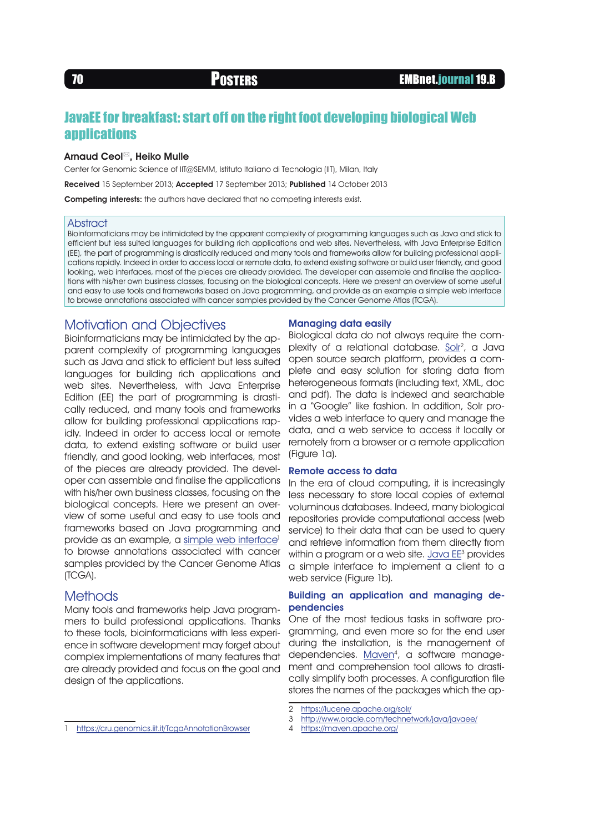# JavaEE for breakfast: start off on the right foot developing biological Web **applications**

#### Arnaud Ceol<sup>⊠</sup>, Heiko Mulle

Center for Genomic Science of IIT@SEMM, Istituto Italiano di Tecnologia (IIT), Milan, Italy

Received 15 September 2013; Accepted 17 September 2013; Published 14 October 2013

Competing interests: the authors have declared that no competing interests exist.

#### **Abstract**

Bioinformaticians may be intimidated by the apparent complexity of programming languages such as Java and stick to efficient but less suited languages for building rich applications and web sites. Nevertheless, with Java Enterprise Edition (EE), the part of programming is drastically reduced and many tools and frameworks allow for building professional applications rapidly. Indeed in order to access local or remote data, to extend existing software or build user friendly, and good looking, web interfaces, most of the pieces are already provided. The developer can assemble and finalise the applications with his/her own business classes, focusing on the biological concepts. Here we present an overview of some useful and easy to use tools and frameworks based on Java programming, and provide as an example a simple web interface to browse annotations associated with cancer samples provided by the Cancer Genome Atlas (TCGA).

# Motivation and Objectives

Bioinformaticians may be intimidated by the apparent complexity of programming languages such as Java and stick to efficient but less suited languages for building rich applications and web sites. Nevertheless, with Java Enterprise Edition (EE) the part of programming is drastically reduced, and many tools and frameworks allow for building professional applications rapidly. Indeed in order to access local or remote data, to extend existing software or build user friendly, and good looking, web interfaces, most of the pieces are already provided. The developer can assemble and finalise the applications with his/her own business classes, focusing on the biological concepts. Here we present an overview of some useful and easy to use tools and frameworks based on Java programming and provide as an example, a [simple web interface](https://cru.genomics.iit.it/TcgaAnnotationBrowser)<sup>1</sup> to browse annotations associated with cancer samples provided by the Cancer Genome Atlas (TCGA).

## **Methods**

Many tools and frameworks help Java programmers to build professional applications. Thanks to these tools, bioinformaticians with less experience in software development may forget about complex implementations of many features that are already provided and focus on the goal and design of the applications.

#### Managing data easily

Biological data do not always require the complexity of a relational database. Solr<sup>2</sup>, a Java open source search platform, provides a complete and easy solution for storing data from heterogeneous formats (including text, XML, doc and pdf). The data is indexed and searchable in a "Google" like fashion. In addition, Solr provides a web interface to query and manage the data, and a web service to access it locally or remotely from a browser or a remote application (Figure 1a).

#### Remote access to data

In the era of cloud computing, it is increasingly less necessary to store local copies of external voluminous databases. Indeed, many biological repositories provide computational access (web service) to their data that can be used to query and retrieve information from them directly from within a program or a web site. [Java EE](http://www.oracle.com/technetwork/java/javaee/)<sup>3</sup> provides a simple interface to implement a client to a web service (Figure 1b).

## Building an application and managing dependencies

One of the most tedious tasks in software programming, and even more so for the end user during the installation, is the management of dependencies. Maven<sup>4</sup>, a software management and comprehension tool allows to drastically simplify both processes. A configuration file stores the names of the packages which the ap-

- 3 <http://www.oracle.com/technetwork/java/javaee/>
- 4 <https://maven.apache.org/>
- <https://cru.genomics.iit.it/TcgaAnnotationBrowser>

<sup>2</sup> <https://lucene.apache.org/solr/>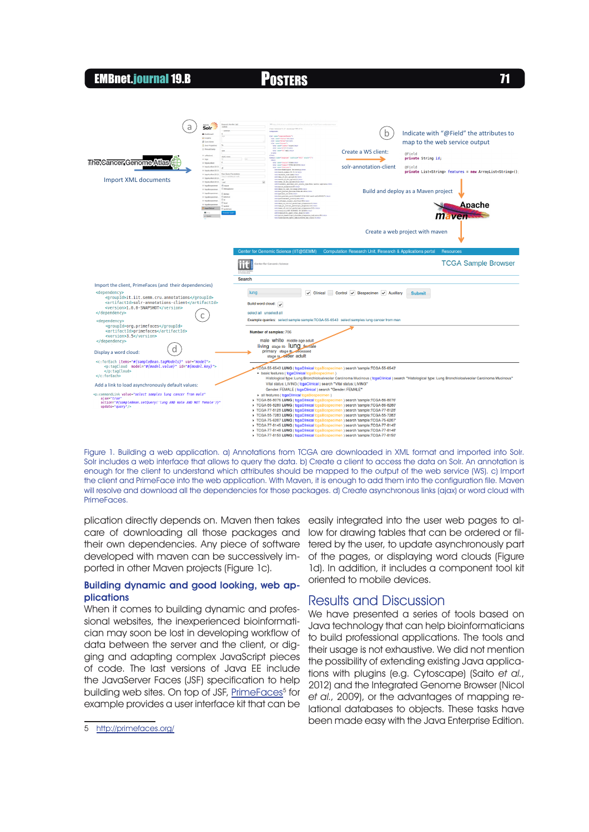# EMBnet.journal 19.B Posters <sup>71</sup>



Figure 1. Building a web application. a) Annotations from TCGA are downloaded in XML format and imported into Solr. Solr includes a web interface that allows to query the data. b) Create a client to access the data on Solr. An annotation is enough for the client to understand which attributes should be mapped to the output of the web service (WS). c) Import the client and PrimeFace into the web application. With Maven, it is enough to add them into the configuration file. Maven will resolve and download all the dependencies for those packages. d) Create asynchronous links (ajax) or word cloud with PrimeFaces.

plication directly depends on. Maven then takes care of downloading all those packages and their own dependencies. Any piece of software developed with maven can be successively imported in other Maven projects (Figure 1c).

#### Building dynamic and good looking, web applications

When it comes to building dynamic and professional websites, the inexperienced bioinformatician may soon be lost in developing workflow of data between the server and the client, or digging and adapting complex JavaScript pieces of code. The last versions of Java EE include the JavaServer Faces (JSF) specification to help building web sites. On top of JSF, [PrimeFaces](http://primefaces.org/)<sup>5</sup> for example provides a user interface kit that can be

easily integrated into the user web pages to allow for drawing tables that can be ordered or filtered by the user, to update asynchronously part of the pages, or displaying word clouds (Figure 1d). In addition, it includes a component tool kit oriented to mobile devices.

# Results and Discussion

We have presented a series of tools based on Java technology that can help bioinformaticians to build professional applications. The tools and their usage is not exhaustive. We did not mention the possibility of extending existing Java applications with plugins (e.g. Cytoscape) (Saito et al., 2012) and the Integrated Genome Browser (Nicol et al., 2009), or the advantages of mapping relational databases to objects. These tasks have been made easy with the Java Enterprise Edition.

<sup>5</sup> <http://primefaces.org/>